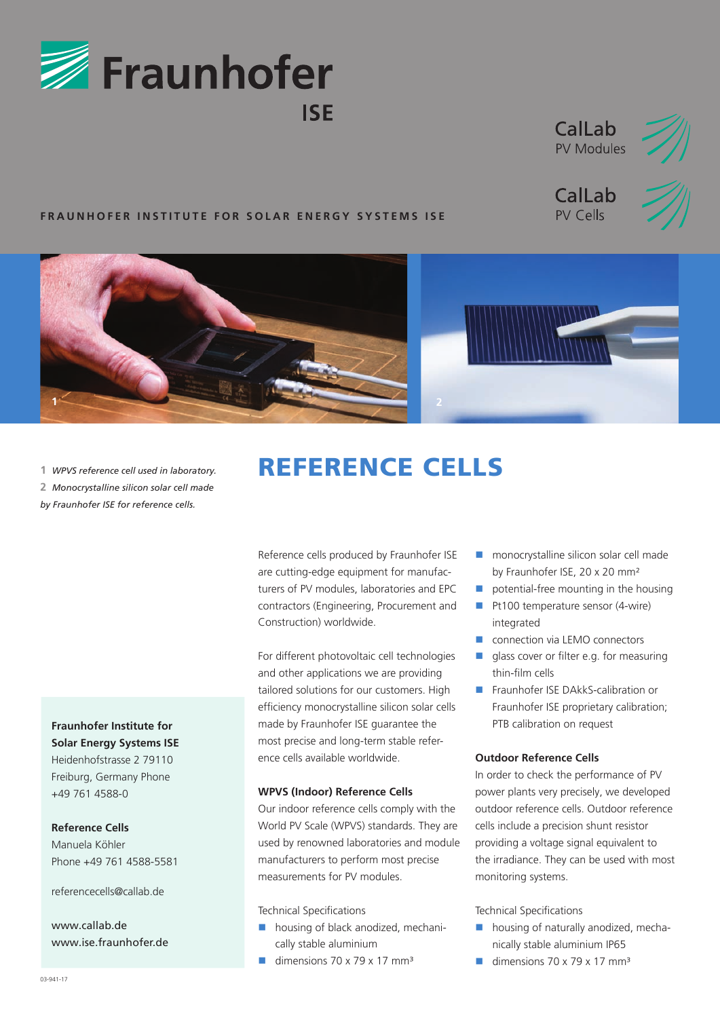





## **FRAUNHOFER INSTITUTE FOR SOLAR ENERGY SYSTEMS ISE**





**1** *WPVS reference cell used in laboratory.*  **2** *Monocrystalline silicon solar cell made by Fraunhofer ISE for reference cells.*

**Fraunhofer Institute for Solar Energy Systems ISE** Heidenhofstrasse 2 79110

Freiburg, Germany Phone +49 761 4588-0

**Reference Cells** 

Manuela Köhler Phone +49 761 4588-5581

referencecells@callab.de

www.callab.de www.ise.fraunhofer.de

# REFERENCE CELLS

Reference cells produced by Fraunhofer ISE are cutting-edge equipment for manufacturers of PV modules, laboratories and EPC contractors (Engineering, Procurement and Construction) worldwide.

For different photovoltaic cell technologies and other applications we are providing tailored solutions for our customers. High efficiency monocrystalline silicon solar cells made by Fraunhofer ISE guarantee the most precise and long-term stable reference cells available worldwide.

#### **WPVS (Indoor) Reference Cells**

Our indoor reference cells comply with the World PV Scale (WPVS) standards. They are used by renowned laboratories and module manufacturers to perform most precise measurements for PV modules.

Technical Specifications

- **housing of black anodized, mechani**cally stable aluminium
- dimensions  $70 \times 79 \times 17$  mm<sup>3</sup>
- **n** monocrystalline silicon solar cell made by Fraunhofer ISE, 20 x 20 mm²
- potential-free mounting in the housing
- Pt100 temperature sensor (4-wire) integrated
- **CONNECTION CONNECTION CONNECTION**
- alass cover or filter e.g. for measuring thin-film cells
- Fraunhofer ISE DAkkS-calibration or Fraunhofer ISE proprietary calibration; PTB calibration on request

#### **Outdoor Reference Cells**

In order to check the performance of PV power plants very precisely, we developed outdoor reference cells. Outdoor reference cells include a precision shunt resistor providing a voltage signal equivalent to the irradiance. They can be used with most monitoring systems.

Technical Specifications

- **housing of naturally anodized, mecha**nically stable aluminium IP65
- dimensions  $70 \times 79 \times 17$  mm<sup>3</sup>